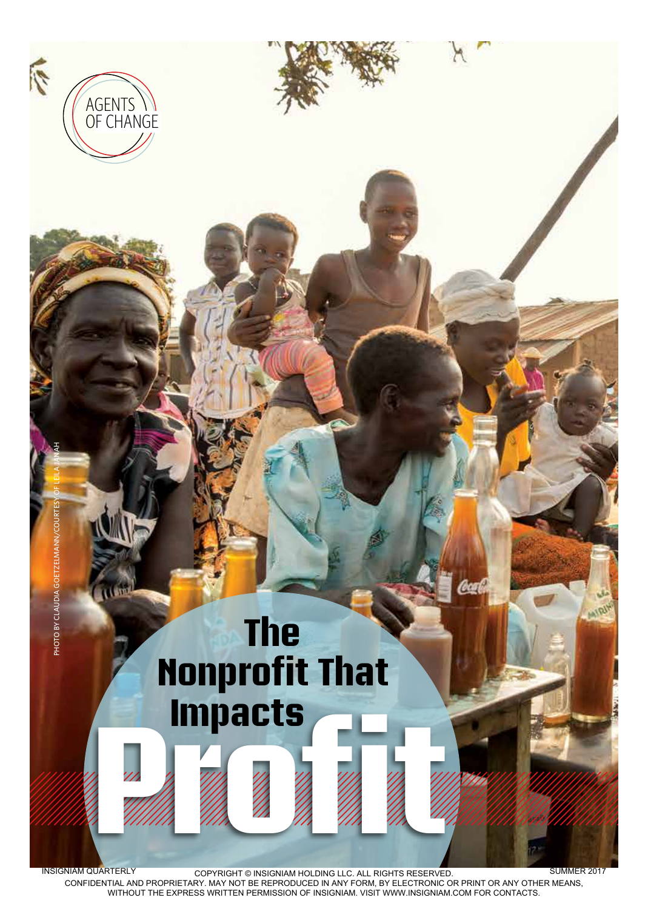

CONFIDENTIAL AND PROPRIETARY. MAY NOT BE REPRODUCED IN ANY FORM, BY ELECTRONIC OR PRINT OR ANY OTHER MEANS, WITHOUT THE EXPRESS WRITTEN PERMISSION OF INSIGNIAM. VISIT WWW.INSIGNIAM.COM FOR CONTACTS.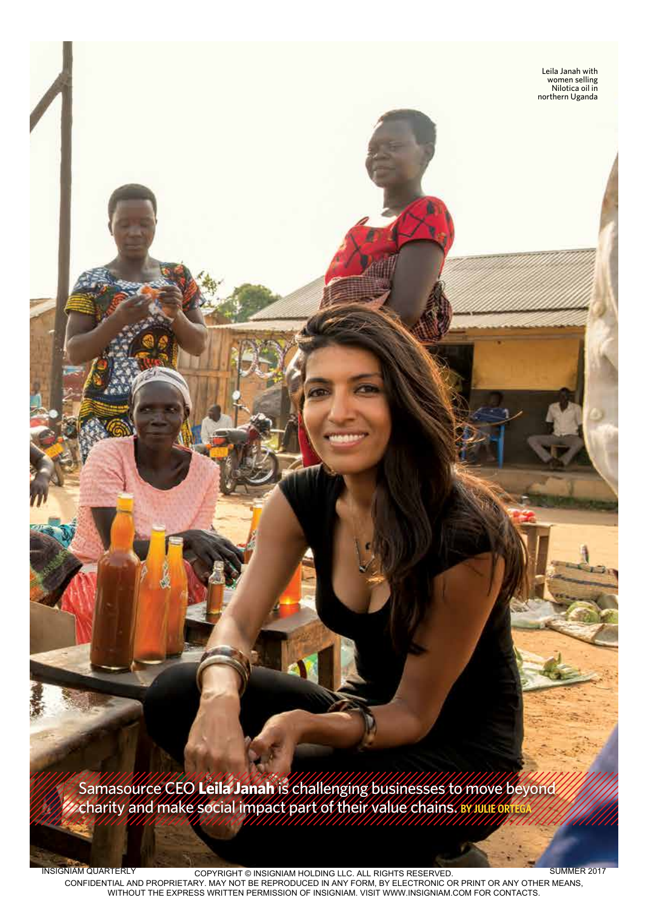Samasource CEO **Leila Janah** is challenging businesses to move beyond charity and make social impact part of their value chains. **BY JULIE ORTEGA**

INSIGNIAM QUARTERLY COPYRIGHT © INSIGNIAM HOLDING LLC. ALL RIGHTS RESERVED. CONFIDENTIAL AND PROPRIETARY. MAY NOT BE REPRODUCED IN ANY FORM, BY ELECTRONIC OR PRINT OR ANY OTHER MEANS, WITHOUT THE EXPRESS WRITTEN PERMISSION OF INSIGNIAM. VISIT WWW.INSIGNIAM.COM FOR CONTACTS. SUMMER 2017

quarterly.insigniam.com | INSIGNIAM QUARTERLY 59

Leila Janah with women selling Nilotica oil in northern Uganda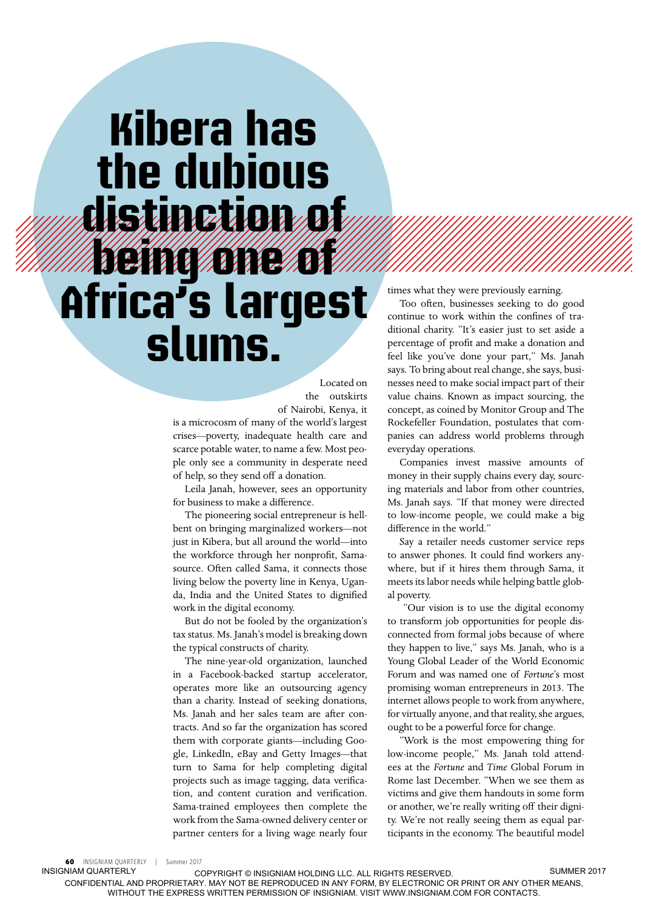# **Kibera has the dubious distinction of being one of Africa's largest slums.**

Located on the outskirts of Nairobi, Kenya, it

is a microcosm of many of the world's largest crises—poverty, inadequate health care and scarce potable water, to name a few. Most people only see a community in desperate need of help, so they send off a donation.

Leila Janah, however, sees an opportunity for business to make a difference.

The pioneering social entrepreneur is hellbent on bringing marginalized workers—not just in Kibera, but all around the world—into the workforce through her nonprofit, Samasource. Often called Sama, it connects those living below the poverty line in Kenya, Uganda, India and the United States to dignified work in the digital economy.

But do not be fooled by the organization's tax status. Ms. Janah's model is breaking down the typical constructs of charity.

The nine-year-old organization, launched in a Facebook-backed startup accelerator, operates more like an outsourcing agency than a charity. Instead of seeking donations, Ms. Janah and her sales team are after contracts. And so far the organization has scored them with corporate giants—including Google, LinkedIn, eBay and Getty Images—that turn to Sama for help completing digital projects such as image tagging, data verification, and content curation and verification. Sama-trained employees then complete the work from the Sama-owned delivery center or partner centers for a living wage nearly four

times what they were previously earning.

Too often, businesses seeking to do good continue to work within the confines of traditional charity. "It's easier just to set aside a percentage of profit and make a donation and feel like you've done your part," Ms. Janah says. To bring about real change, she says, businesses need to make social impact part of their value chains. Known as impact sourcing, the concept, as coined by Monitor Group and The Rockefeller Foundation, postulates that companies can address world problems through everyday operations.

Companies invest massive amounts of money in their supply chains every day, sourcing materials and labor from other countries, Ms. Janah says. "If that money were directed to low-income people, we could make a big difference in the world."

Say a retailer needs customer service reps to answer phones. It could find workers anywhere, but if it hires them through Sama, it meets its labor needs while helping battle global poverty.

 "Our vision is to use the digital economy to transform job opportunities for people disconnected from formal jobs because of where they happen to live," says Ms. Janah, who is a Young Global Leader of the World Economic Forum and was named one of *Fortune*'s most promising woman entrepreneurs in 2013. The internet allows people to work from anywhere, for virtually anyone, and that reality, she argues, ought to be a powerful force for change.

"Work is the most empowering thing for low-income people," Ms. Janah told attendees at the *Fortune* and *Time* Global Forum in Rome last December. "When we see them as victims and give them handouts in some form or another, we're really writing off their dignity. We're not really seeing them as equal participants in the economy. The beautiful model

**60 INSIGNIAM QUARTERLY | Summer 2017**<br>INSIGNIAM OLIARTERLY

COPYRIGHT © INSIGNIAM HOLDING LLC. ALL RIGHTS RESERVED. CONFIDENTIAL AND PROPRIETARY. MAY NOT BE REPRODUCED IN ANY FORM, BY ELECTRONIC OR PRINT OR ANY OTHER MEANS, WITHOUT THE EXPRESS WRITTEN PERMISSION OF INSIGNIAM. VISIT WWW.INSIGNIAM.COM FOR CONTACTS. SUMMER 2017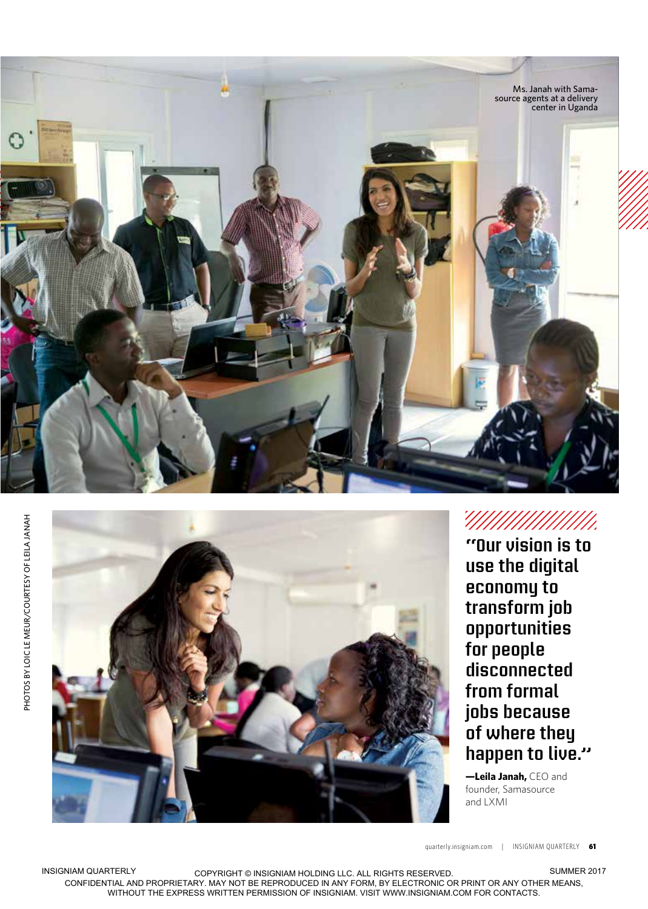



**"Our vision is to use the digital economy to transform job opportunities for people disconnected from formal jobs because of where they happen to live."** 

**—Leila Janah,** CEO and founder, Samasource and LXMI

quarterly.insigniam.com | INSIGNIAM QUARTERLY 61

INSIGNIAM QUARTERLY COPYRIGHT © INSIGNIAM HOLDING LLC. ALL RIGHTS RESERVED. CONFIDENTIAL AND PROPRIETARY. MAY NOT BE REPRODUCED IN ANY FORM, BY ELECTRONIC OR PRINT OR ANY OTHER MEANS, WITHOUT THE EXPRESS WRITTEN PERMISSION OF INSIGNIAM. VISIT WWW.INSIGNIAM.COM FOR CONTACTS.

SUMMER 2017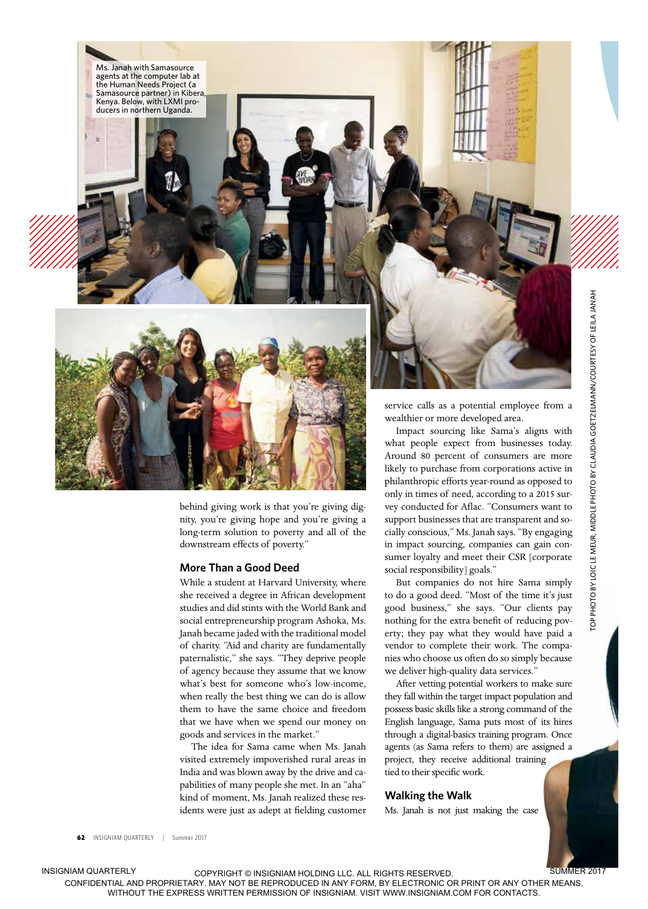

Ms. Janah with Samasource agents at the computer lab at the Human Needs Project (a Samasource partner) in Kibera, Kenya. Below, with LXMI producers in northern Uganda.

> behind giving work is that you're giving dignity, you're giving hope and you're giving a long-term solution to poverty and all of the downstream effects of poverty."

### **More Than a Good Deed**

While a student at Harvard University, where she received a degree in African development studies and did stints with the World Bank and social entrepreneurship program Ashoka, Ms. Janah became jaded with the traditional model of charity. "Aid and charity are fundamentally paternalistic," she says. "They deprive people of agency because they assume that we know what's best for someone who's low-income, when really the best thing we can do is allow them to have the same choice and freedom that we have when we spend our money on goods and services in the market."

The idea for Sama came when Ms. Janah visited extremely impoverished rural areas in India and was blown away by the drive and capabilities of many people she met. In an "aha" kind of moment, Ms. Janah realized these residents were just as adept at fielding customer service calls as a potential employee from a wealthier or more developed area.

Impact sourcing like Sama's aligns with what people expect from businesses today. Around 80 percent of consumers are more likely to purchase from corporations active in philanthropic efforts year-round as opposed to only in times of need, according to a 2015 survey conducted for Aflac. "Consumers want to support businesses that are transparent and socially conscious," Ms. Janah says. "By engaging in impact sourcing, companies can gain consumer loyalty and meet their CSR [corporate social responsibility] goals."

But companies do not hire Sama simply to do a good deed. "Most of the time it's just good business," she says. "Our clients pay nothing for the extra benefit of reducing poverty; they pay what they would have paid a vendor to complete their work. The companies who choose us often do so simply because we deliver high-quality data services."

After vetting potential workers to make sure they fall within the target impact population and possess basic skills like a strong command of the English language, Sama puts most of its hires through a digital-basics training program. Once agents (as Sama refers to them) are assigned a project, they receive additional training tied to their specific work.

#### **Walking the Walk**

Ms. Janah is not just making the case

62 INSIGNIAM OUARTERLY | Summer 2017